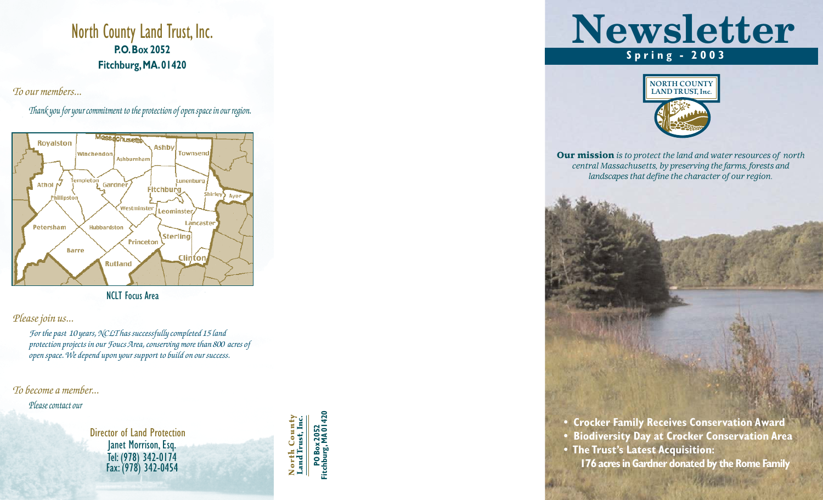## North County Land Trust, Inc. **P.O.Box 2052 Fitchburg,MA.01420**

*To our members...*

*Thank you for your commitment to the protection of open space in our region.*



NCLT Focus Area

#### *Please join us...*

*For the past 10 years, NCLT has successfully completed 15 land protection projects in our Foucs Area, conserving more than 800 acres of open space. We depend upon your support to build on our success.* 

*To become a member...*

*Please contact our*

Director of Land Protection Janet Morrison, Esq. Tel:(978) 342-0174 Fax:(978) 342-0454

**North County Land Trust, Inc.** North Count<br>Land Trust, Inc

**PO Box 2052<br>itchburg, MA 0142 Fitchburg, MA 01420** **Newsletter Spring - 2003**



Our mission *is to protect the land and water resources of north central Massachusetts, by preserving the farms, forests and landscapes that define the character of our region.*

**• Crocker Family Receives Conservation Award**

- **Biodiversity Day at Crocker Conservation Area**
- **The Trust's Latest Acquisition:**

**176 acres in Gardner donated by the Rome Family**